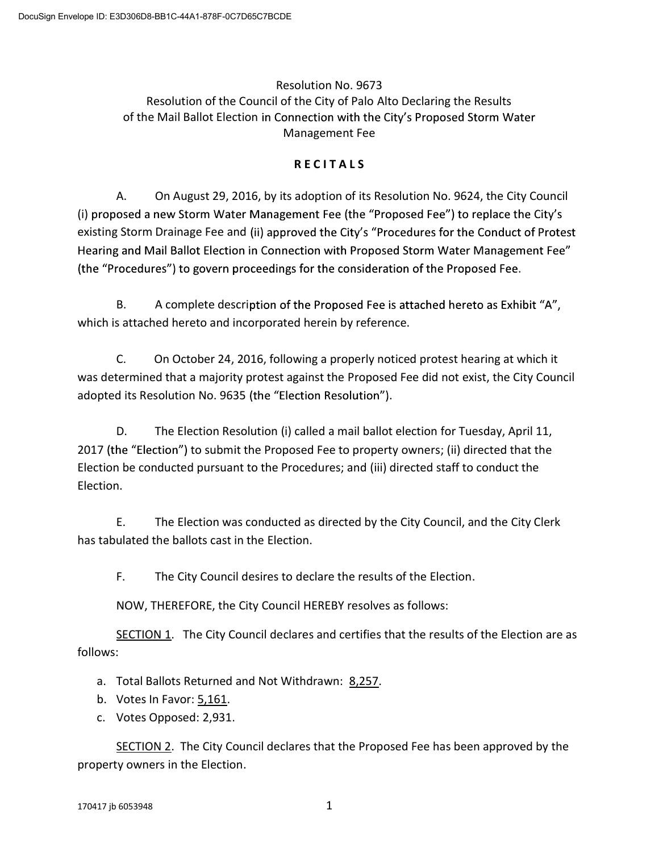## Resolution No. 9673 Resolution of the Council of the City of Palo Alto Declaring the Results of the Mail Ballot Election in Connection with the City's Proposed Storm Water Management Fee

## **R E C I T A L S**

A. On August 29, 2016, by its adoption of its Resolution No. 9624, the City Council (i) proposed a new Storm Water Management Fee (the "Proposed Fee") to replace the City's existing Storm Drainage Fee and (ii) approved the City's "Procedures for the Conduct of Protest Hearing and Mail Ballot Election in Connection with Proposed Storm Water Management Fee" (the "Procedures") to govern proceedings for the consideration of the Proposed Fee.

B. A complete description of the Proposed Fee is attached hereto as Exhibit "A", which is attached hereto and incorporated herein by reference.

C. On October 24, 2016, following a properly noticed protest hearing at which it was determined that a majority protest against the Proposed Fee did not exist, the City Council adopted its Resolution No. 9635 (the "Election Resolution").

D. The Election Resolution (i) called a mail ballot election for Tuesday, April 11, 2017 (the "Election") to submit the Proposed Fee to property owners; (ii) directed that the Election be conducted pursuant to the Procedures; and (iii) directed staff to conduct the Election.

E. The Election was conducted as directed by the City Council, and the City Clerk has tabulated the ballots cast in the Election.

F. The City Council desires to declare the results of the Election.

NOW, THEREFORE, the City Council HEREBY resolves as follows:

 SECTION 1. The City Council declares and certifies that the results of the Election are as follows:

- a. Total Ballots Returned and Not Withdrawn: 8,257.
- b. Votes In Favor: 5,161.
- c. Votes Opposed: 2,931.

SECTION 2. The City Council declares that the Proposed Fee has been approved by the property owners in the Election.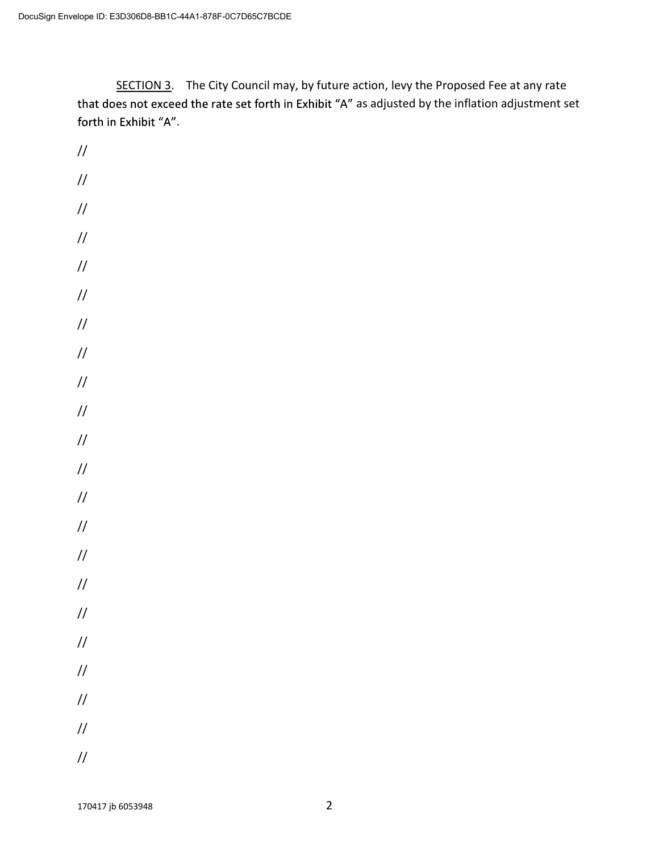SECTION 3. The City Council may, by future action, levy the Proposed Fee at any rate that does not exceed the rate set forth in Exhibit "A" as adjusted by the inflation adjustment set forth in Exhibit "A".

// // // // // // // // // // // // // // // // // // // // // //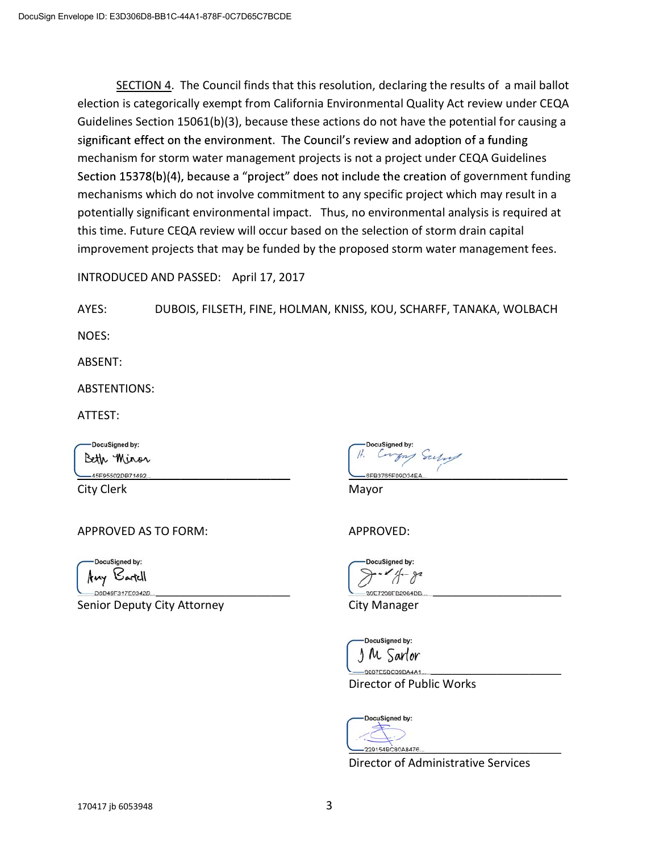SECTION 4. The Council finds that this resolution, declaring the results of a mail ballot election is categorically exempt from California Environmental Quality Act review under CEQA Guidelines Section 15061(b)(3), because these actions do not have the potential for causing a significant effect on the environment. The Council's review and adoption of a funding mechanism for storm water management projects is not a project under CEQA Guidelines Section  $15378(b)(4)$ , because a "project" does not include the creation of government funding mechanisms which do not involve commitment to any specific project which may result in a potentially significant environmental impact. Thus, no environmental analysis is required at this time. Future CEQA review will occur based on the selection of storm drain capital improvement projects that may be funded by the proposed storm water management fees.

INTRODUCED AND PASSED: April 17, 2017

AYES: DUBOIS, FILSETH, FINE, HOLMAN, KNISS, KOU, SCHARFF, TANAKA, WOLBACH

NOES:

ABSENT:

ABSTENTIONS:

ATTEST:

DocuSigned by: Beth Miror 45F95502DB71492.

City Clerk Mayor

APPROVED AS TO FORM: APPROVED:

DocuSigned by: Any Bartell

D0B48F317E9342B Senior Deputy City Attorney **City Manager** 

DocuSianed by: Sulve SEB3765E09D34EA

DocuSigned by: 39E7298EB2064DE

DocuSigned by: M Sartor

07F5BC39BA4A1

Director of Public Works



Director of Administrative Services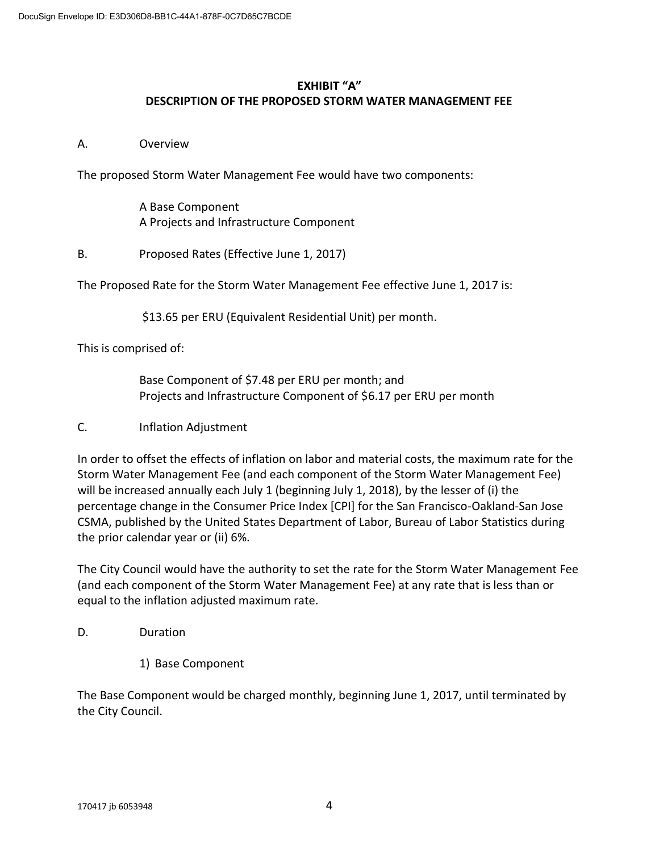## **EXHIBIT "A" DESCRIPTION OF THE PROPOSED STORM WATER MANAGEMENT FEE**

### A. Overview

The proposed Storm Water Management Fee would have two components:

 A Base Component A Projects and Infrastructure Component

B. Proposed Rates (Effective June 1, 2017)

The Proposed Rate for the Storm Water Management Fee effective June 1, 2017 is:

\$13.65 per ERU (Equivalent Residential Unit) per month.

This is comprised of:

 Base Component of \$7.48 per ERU per month; and Projects and Infrastructure Component of \$6.17 per ERU per month

### C. Inflation Adjustment

In order to offset the effects of inflation on labor and material costs, the maximum rate for the Storm Water Management Fee (and each component of the Storm Water Management Fee) will be increased annually each July 1 (beginning July 1, 2018), by the lesser of (i) the percentage change in the Consumer Price Index [CPI] for the San Francisco-Oakland-San Jose CSMA, published by the United States Department of Labor, Bureau of Labor Statistics during the prior calendar year or (ii) 6%.

The City Council would have the authority to set the rate for the Storm Water Management Fee (and each component of the Storm Water Management Fee) at any rate that is less than or equal to the inflation adjusted maximum rate.

D. Duration

1) Base Component

The Base Component would be charged monthly, beginning June 1, 2017, until terminated by the City Council.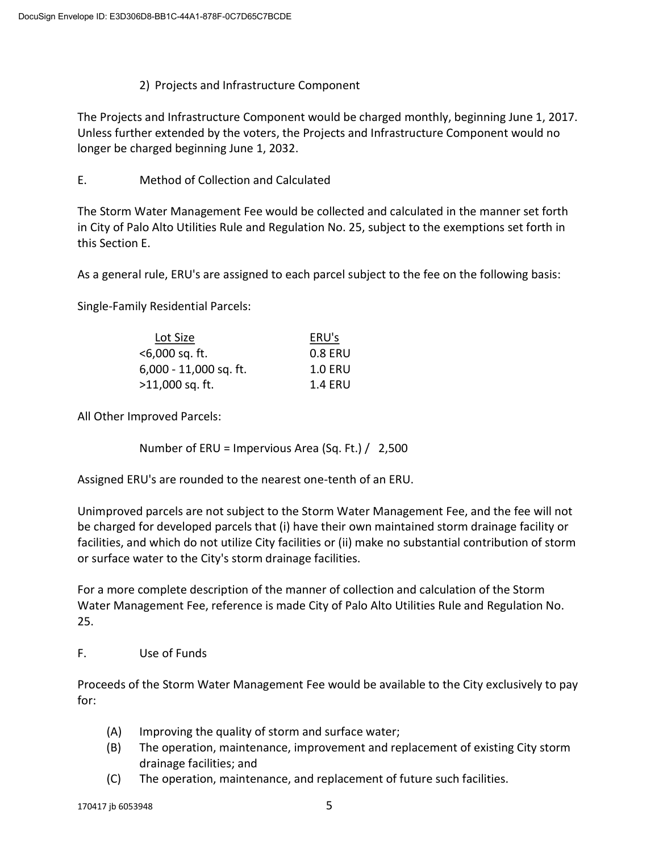## 2) Projects and Infrastructure Component

The Projects and Infrastructure Component would be charged monthly, beginning June 1, 2017. Unless further extended by the voters, the Projects and Infrastructure Component would no longer be charged beginning June 1, 2032.

E. Method of Collection and Calculated

The Storm Water Management Fee would be collected and calculated in the manner set forth in City of Palo Alto Utilities Rule and Regulation No. 25, subject to the exemptions set forth in this Section E.

As a general rule, ERU's are assigned to each parcel subject to the fee on the following basis:

Single-Family Residential Parcels:

| Lot Size                 | ERU's          |
|--------------------------|----------------|
| $<$ 6,000 sq. ft.        | 0.8 ERU        |
| $6,000 - 11,000$ sq. ft. | <b>1.0 ERU</b> |
| $>11,000$ sq. ft.        | 1.4 ERU        |

All Other Improved Parcels:

Number of ERU = Impervious Area (Sq. Ft.) / 2,500

Assigned ERU's are rounded to the nearest one-tenth of an ERU.

Unimproved parcels are not subject to the Storm Water Management Fee, and the fee will not be charged for developed parcels that (i) have their own maintained storm drainage facility or facilities, and which do not utilize City facilities or (ii) make no substantial contribution of storm or surface water to the City's storm drainage facilities.

For a more complete description of the manner of collection and calculation of the Storm Water Management Fee, reference is made City of Palo Alto Utilities Rule and Regulation No. 25.

F. Use of Funds

Proceeds of the Storm Water Management Fee would be available to the City exclusively to pay for:

- (A) Improving the quality of storm and surface water;
- (B) The operation, maintenance, improvement and replacement of existing City storm drainage facilities; and
- (C) The operation, maintenance, and replacement of future such facilities.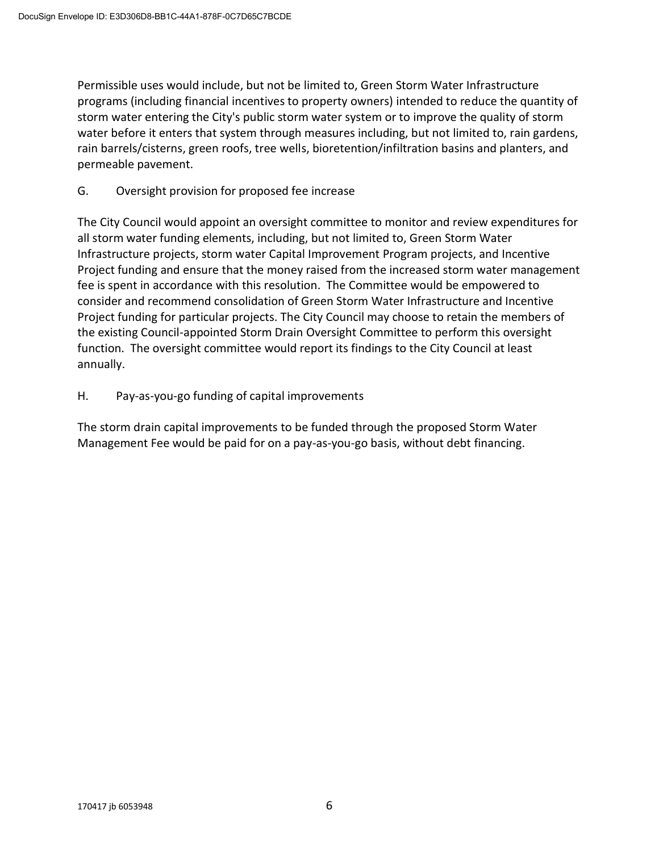Permissible uses would include, but not be limited to, Green Storm Water Infrastructure programs (including financial incentives to property owners) intended to reduce the quantity of storm water entering the City's public storm water system or to improve the quality of storm water before it enters that system through measures including, but not limited to, rain gardens, rain barrels/cisterns, green roofs, tree wells, bioretention/infiltration basins and planters, and permeable pavement.

G. Oversight provision for proposed fee increase

The City Council would appoint an oversight committee to monitor and review expenditures for all storm water funding elements, including, but not limited to, Green Storm Water Infrastructure projects, storm water Capital Improvement Program projects, and Incentive Project funding and ensure that the money raised from the increased storm water management fee is spent in accordance with this resolution. The Committee would be empowered to consider and recommend consolidation of Green Storm Water Infrastructure and Incentive Project funding for particular projects. The City Council may choose to retain the members of the existing Council-appointed Storm Drain Oversight Committee to perform this oversight function. The oversight committee would report its findings to the City Council at least annually.

H. Pay-as-you-go funding of capital improvements

The storm drain capital improvements to be funded through the proposed Storm Water Management Fee would be paid for on a pay-as-you-go basis, without debt financing.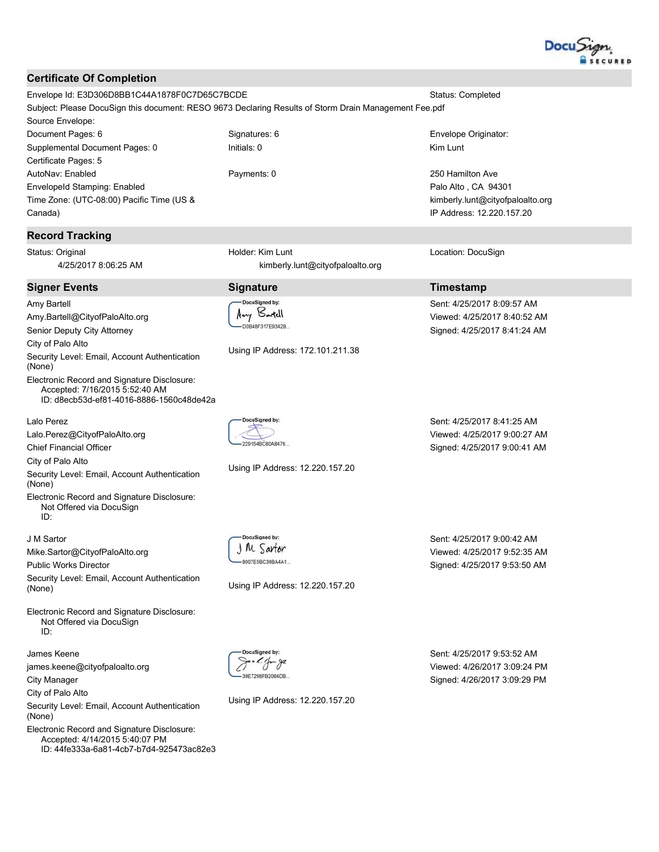

#### **Certificate Of Completion**

Envelope Id: E3D306D8BB1C44A1878F0C7D65C7BCDE **Status: Completed** Subject: Please DocuSign this document: RESO 9673 Declaring Results of Storm Drain Management Fee.pdf Source Envelope: Signatures: 6 Document Pages: 6 Envelope Originator: Supplemental Document Pages: 0 Initials: 0 Kim Lunt Certificate Pages: 5 Payments: 0 250 Hamilton Ave AutoNav: Enabled EnvelopeId Stamping: Enabled Palo Alto, CA 94301 Time Zone: (UTC-08:00) Pacific Time (US & kimberly.lunt@cityofpaloalto.org

# Canada)

### **Record Tracking**

Status: Original 4/25/2017 8:06:25 AM

#### **Signer Events**

Amy Bartell Amy.Bartell@CityofPaloAlto.org Senior Deputy City Attorney

City of Palo Alto

Security Level: Email, Account Authentication (None)

Electronic Record and Signature Disclosure: Accepted: 7/16/2015 5:52:40 AM ID: d8ecb53d-ef81-4016-8886-1560c48de42a

Lalo Perez

Lalo.Perez@CityofPaloAlto.org

**Chief Financial Officer** 

City of Palo Alto

Security Level: Email, Account Authentication (None)

Electronic Record and Signature Disclosure: Not Offered via DocuSign ID:

J M Sartor

Mike.Sartor@CityofPaloAlto.org

**Public Works Director** Security Level: Email, Account Authentication (None)

Electronic Record and Signature Disclosure: Not Offered via DocuSign  $ID:$ 

James Keene james.keene@cityofpaloalto.org

**City Manager** 

City of Palo Alto

Security Level: Email, Account Authentication (None)

Electronic Record and Signature Disclosure: Accepted: 4/14/2015 5:40:07 PM ID: 44fe333a-6a81-4cb7-b7d4-925473ac82e3 Holder: Kim Lunt kimberly.lunt@cityofpaloalto.org

## **Signature**

DocuSianed by: Any Bartell D0B48F317E9342B

Using IP Address: 172.101.211.38

229154BC80A8476

**DocuSianed by** 

1 M Sartor

BOOTESBC39BA4A1

Using IP Address: 12.220.157.20

Using IP Address: 12.220.157.20

Sent: 4/25/2017 8:41:25 AM Viewed: 4/25/2017 9:00:27 AM Signed: 4/25/2017 9:00:41 AM

IP Address: 12.220.157.20

Sent: 4/25/2017 8:09:57 AM

Viewed: 4/25/2017 8:40:52 AM

Signed: 4/25/2017 8:41:24 AM

Location: DocuSign

**Timestamp** 

Sent: 4/25/2017 9:00:42 AM Viewed: 4/25/2017 9:52:35 AM Signed: 4/25/2017 9:53:50 AM

39E7298FB2064DB.

Using IP Address: 12.220.157.20

Sent: 4/25/2017 9:53:52 AM Viewed: 4/26/2017 3:09:24 PM Signed: 4/26/2017 3:09:29 PM